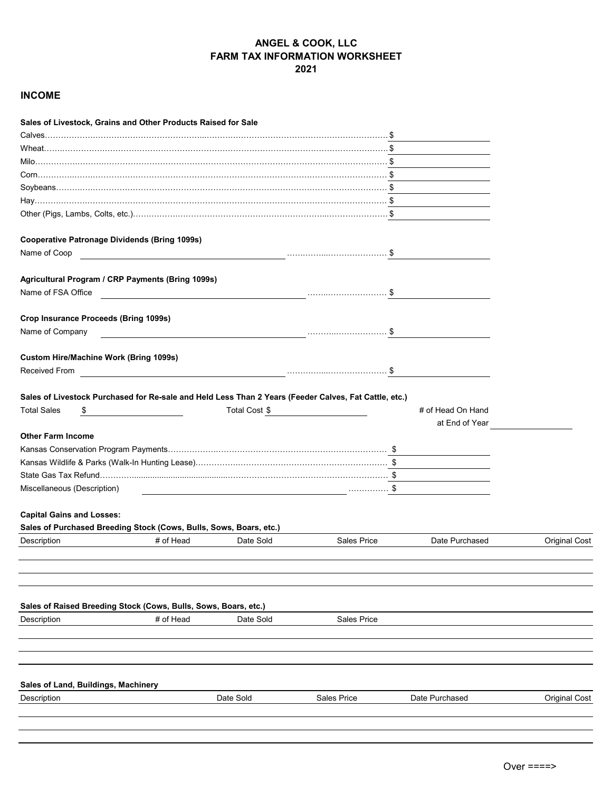## **ANGEL & COOK, LLC FARM TAX INFORMATION WORKSHEET 2021**

## **INCOME**

| Sales of Livestock, Grains and Other Products Raised for Sale                                         |           |               |                                                                                                                       |                                     |                      |
|-------------------------------------------------------------------------------------------------------|-----------|---------------|-----------------------------------------------------------------------------------------------------------------------|-------------------------------------|----------------------|
|                                                                                                       |           |               |                                                                                                                       |                                     |                      |
|                                                                                                       |           |               |                                                                                                                       |                                     |                      |
|                                                                                                       |           |               |                                                                                                                       |                                     |                      |
|                                                                                                       |           |               |                                                                                                                       |                                     |                      |
|                                                                                                       |           |               |                                                                                                                       |                                     |                      |
|                                                                                                       |           |               |                                                                                                                       |                                     |                      |
|                                                                                                       |           |               |                                                                                                                       |                                     |                      |
| <b>Cooperative Patronage Dividends (Bring 1099s)</b>                                                  |           |               |                                                                                                                       |                                     |                      |
| Name of Coop                                                                                          |           |               |                                                                                                                       |                                     |                      |
| Agricultural Program / CRP Payments (Bring 1099s)                                                     |           |               |                                                                                                                       |                                     |                      |
| Name of FSA Office                                                                                    |           |               |                                                                                                                       |                                     |                      |
| Crop Insurance Proceeds (Bring 1099s)                                                                 |           |               |                                                                                                                       |                                     |                      |
| Name of Company                                                                                       |           |               |                                                                                                                       |                                     |                      |
| Custom Hire/Machine Work (Bring 1099s)                                                                |           |               |                                                                                                                       |                                     |                      |
| Received From                                                                                         |           |               |                                                                                                                       |                                     |                      |
| Sales of Livestock Purchased for Re-sale and Held Less Than 2 Years (Feeder Calves, Fat Cattle, etc.) |           |               |                                                                                                                       |                                     |                      |
| <b>Total Sales</b><br>\$                                                                              |           | Total Cost \$ |                                                                                                                       | # of Head On Hand<br>at End of Year |                      |
| <b>Other Farm Income</b>                                                                              |           |               |                                                                                                                       |                                     |                      |
|                                                                                                       |           |               |                                                                                                                       |                                     |                      |
| Kansas Wildlife & Parks (Walk-In Hunting Lease)…………………………………………………………………… \$                          |           |               |                                                                                                                       |                                     |                      |
|                                                                                                       |           |               |                                                                                                                       |                                     |                      |
| Miscellaneous (Description)                                                                           |           |               | <u>s and the set of the set of the set of the set of the set of the set of the set of the set of the set of the s</u> |                                     |                      |
| <b>Capital Gains and Losses:</b>                                                                      |           |               |                                                                                                                       |                                     |                      |
| Sales of Purchased Breeding Stock (Cows, Bulls, Sows, Boars, etc.)                                    |           |               |                                                                                                                       |                                     |                      |
| Description                                                                                           | # of Head | Date Sold     | Sales Price                                                                                                           | Date Purchased                      | <b>Original Cost</b> |
|                                                                                                       |           |               |                                                                                                                       |                                     |                      |
|                                                                                                       |           |               |                                                                                                                       |                                     |                      |
| Sales of Raised Breeding Stock (Cows, Bulls, Sows, Boars, etc.)                                       |           |               |                                                                                                                       |                                     |                      |
| Description                                                                                           | # of Head | Date Sold     | <b>Sales Price</b>                                                                                                    |                                     |                      |
|                                                                                                       |           |               |                                                                                                                       |                                     |                      |
| Sales of Land, Buildings, Machinery                                                                   |           |               |                                                                                                                       |                                     |                      |
| Description                                                                                           |           | Date Sold     | <b>Sales Price</b>                                                                                                    | Date Purchased                      | <b>Original Cost</b> |
|                                                                                                       |           |               |                                                                                                                       |                                     |                      |